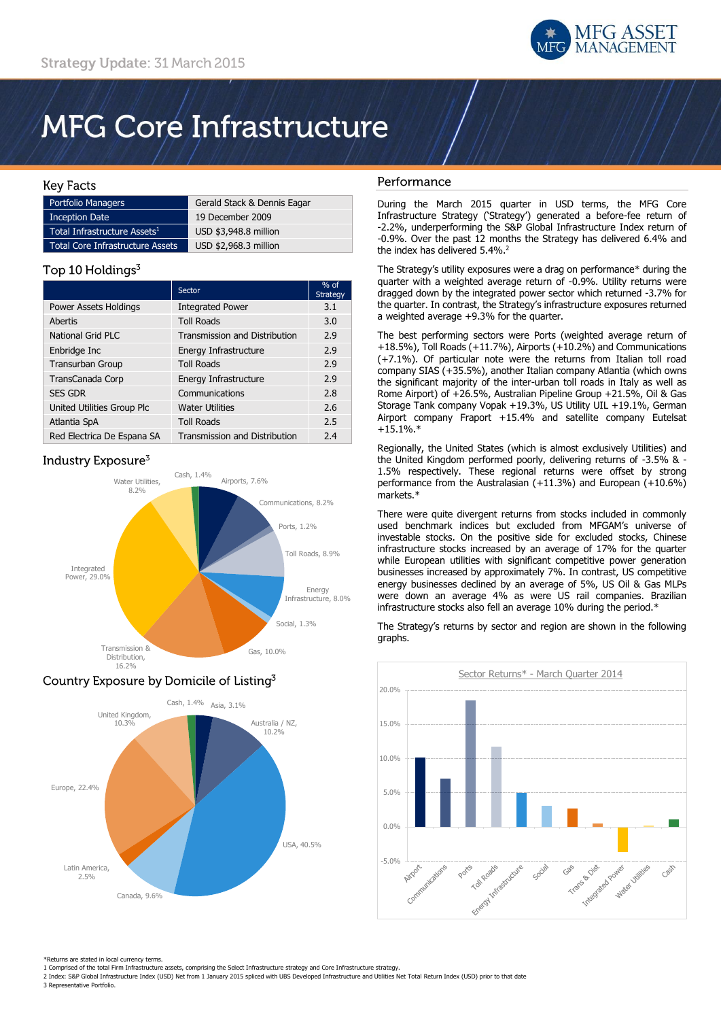

# **MFG Core Infrastructure**

### **Key Facts**

| <b>Portfolio Managers</b>                | Gerald Stack & Dennis Eagar |
|------------------------------------------|-----------------------------|
| <b>Inception Date</b>                    | 19 December 2009            |
| Total Infrastructure Assets <sup>1</sup> | USD \$3,948.8 million       |
| Total Core Infrastructure Assets         | USD \$2,968.3 million       |

## Top 10 Holdings<sup>3</sup>

|                              | Sector                               | $%$ of<br><b>Strategy</b> |
|------------------------------|--------------------------------------|---------------------------|
| <b>Power Assets Holdings</b> | <b>Integrated Power</b>              | 3.1                       |
| Abertis                      | <b>Toll Roads</b>                    | 3.0                       |
| <b>National Grid PLC</b>     | Transmission and Distribution        | 2.9                       |
| Enbridge Inc                 | Energy Infrastructure                | 2.9                       |
| <b>Transurban Group</b>      | <b>Toll Roads</b>                    | 2.9                       |
| TransCanada Corp             | Energy Infrastructure                | 2.9                       |
| <b>SES GDR</b>               | Communications                       | 2.8                       |
| United Utilities Group Plc   | <b>Water Utilities</b>               | 2.6                       |
| Atlantia SpA                 | <b>Toll Roads</b>                    | 2.5                       |
| Red Electrica De Espana SA   | <b>Transmission and Distribution</b> | 2.4                       |

# Industry Exposure<sup>3</sup>



# Country Exposure by Domicile of Listing<sup>3</sup>



## Performance

During the March 2015 quarter in USD terms, the MFG Core Infrastructure Strategy ('Strategy') generated a before-fee return of -2.2%, underperforming the S&P Global Infrastructure Index return of -0.9%. Over the past 12 months the Strategy has delivered 6.4% and the index has delivered 5.4%.<sup>2</sup>

The Strategy's utility exposures were a drag on performance\* during the quarter with a weighted average return of -0.9%. Utility returns were dragged down by the integrated power sector which returned -3.7% for the quarter. In contrast, the Strategy's infrastructure exposures returned a weighted average +9.3% for the quarter.

The best performing sectors were Ports (weighted average return of +18.5%), Toll Roads (+11.7%), Airports (+10.2%) and Communications (+7.1%). Of particular note were the returns from Italian toll road company SIAS (+35.5%), another Italian company Atlantia (which owns the significant majority of the inter-urban toll roads in Italy as well as Rome Airport) of +26.5%, Australian Pipeline Group +21.5%, Oil & Gas Storage Tank company Vopak +19.3%, US Utility UIL +19.1%, German Airport company Fraport +15.4% and satellite company Eutelsat  $+15.1\%$ .\*

Regionally, the United States (which is almost exclusively Utilities) and the United Kingdom performed poorly, delivering returns of -3.5% & - 1.5% respectively. These regional returns were offset by strong performance from the Australasian (+11.3%) and European (+10.6%) markets.\*

There were quite divergent returns from stocks included in commonly used benchmark indices but excluded from MFGAM's universe of investable stocks. On the positive side for excluded stocks, Chinese infrastructure stocks increased by an average of 17% for the quarter while European utilities with significant competitive power generation businesses increased by approximately 7%. In contrast, US competitive energy businesses declined by an average of 5%, US Oil & Gas MLPs were down an average 4% as were US rail companies. Brazilian infrastructure stocks also fell an average 10% during the period.\*

The Strategy's returns by sector and region are shown in the following graphs.



\*Returns are stated in local currency terms.

2 Index: S&P Global Infrastructure Index (USD) Net from 1 January 2015 spliced with UBS Developed Infrastructure and Utilities Net Total Return Index (USD) prior to that date 3 Representative Portfolio.

<sup>1</sup> Comprised of the total Firm Infrastructure assets, comprising the Select Infrastructure strategy and Core Infrastructure strategy.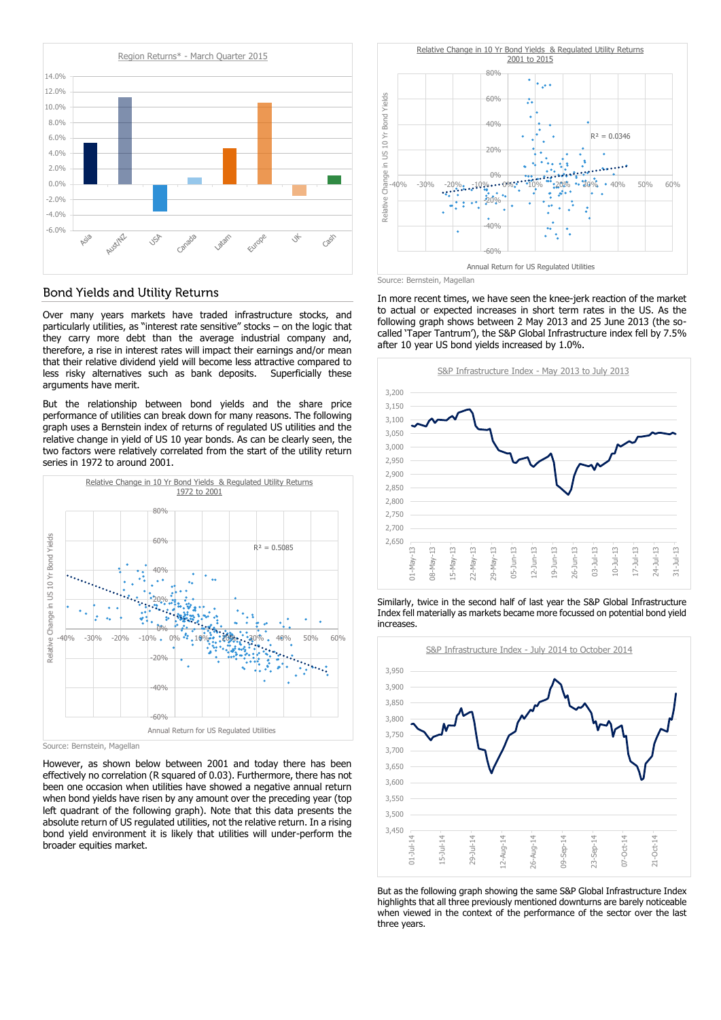

#### **Bond Yields and Utility Returns**

Over many years markets have traded infrastructure stocks, and particularly utilities, as "interest rate sensitive" stocks – on the logic that they carry more debt than the average industrial company and, therefore, a rise in interest rates will impact their earnings and/or mean that their relative dividend yield will become less attractive compared to less risky alternatives such as bank deposits. Superficially these arguments have merit.

But the relationship between bond yields and the share price performance of utilities can break down for many reasons. The following graph uses a Bernstein index of returns of regulated US utilities and the relative change in yield of US 10 year bonds. As can be clearly seen, the two factors were relatively correlated from the start of the utility return series in 1972 to around 2001.



Source: Bernstein, Magellan

However, as shown below between 2001 and today there has been effectively no correlation (R squared of 0.03). Furthermore, there has not been one occasion when utilities have showed a negative annual return when bond yields have risen by any amount over the preceding year (top left quadrant of the following graph). Note that this data presents the absolute return of US regulated utilities, not the relative return. In a rising bond yield environment it is likely that utilities will under-perform the broader equities market.



In more recent times, we have seen the knee-jerk reaction of the market to actual or expected increases in short term rates in the US. As the following graph shows between 2 May 2013 and 25 June 2013 (the socalled 'Taper Tantrum'), the S&P Global Infrastructure index fell by 7.5% after 10 year US bond yields increased by 1.0%.



Similarly, twice in the second half of last year the S&P Global Infrastructure Index fell materially as markets became more focussed on potential bond yield increases.



But as the following graph showing the same S&P Global Infrastructure Index highlights that all three previously mentioned downturns are barely noticeable when viewed in the context of the performance of the sector over the last three years.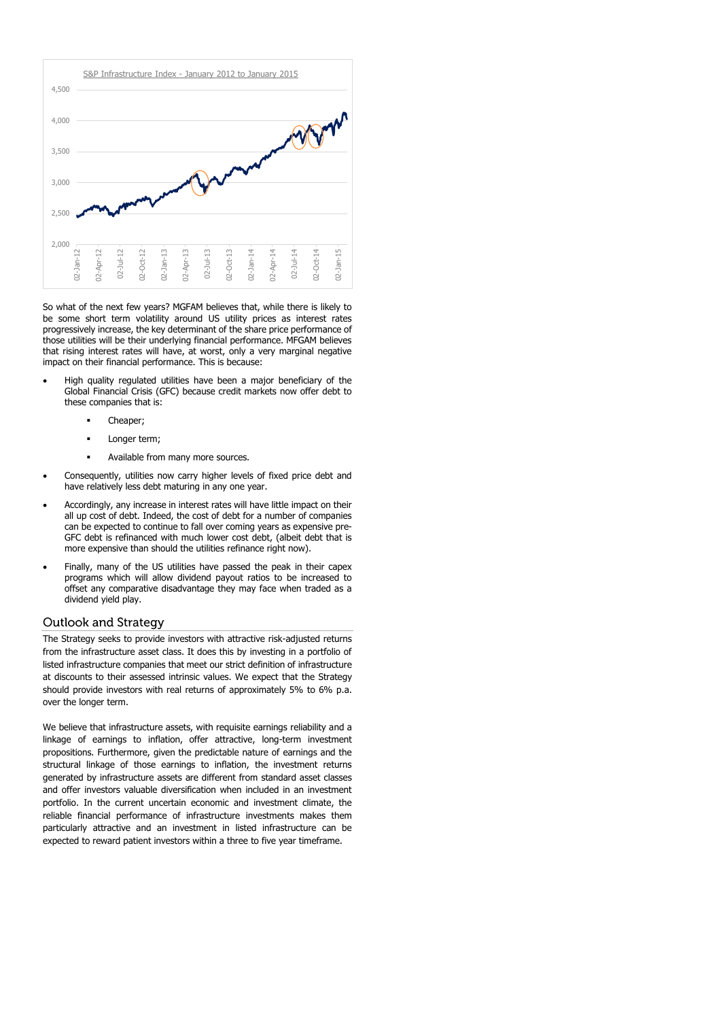

So what of the next few years? MGFAM believes that, while there is likely to be some short term volatility around US utility prices as interest rates progressively increase, the key determinant of the share price performance of those utilities will be their underlying financial performance. MFGAM believes that rising interest rates will have, at worst, only a very marginal negative impact on their financial performance. This is because:

- High quality regulated utilities have been a major beneficiary of the Global Financial Crisis (GFC) because credit markets now offer debt to these companies that is:
	- Cheaper;
	- Longer term;
	- Available from many more sources.
- Consequently, utilities now carry higher levels of fixed price debt and have relatively less debt maturing in any one year.
- Accordingly, any increase in interest rates will have little impact on their all up cost of debt. Indeed, the cost of debt for a number of companies can be expected to continue to fall over coming years as expensive pre-GFC debt is refinanced with much lower cost debt, (albeit debt that is more expensive than should the utilities refinance right now).
- Finally, many of the US utilities have passed the peak in their capex programs which will allow dividend payout ratios to be increased to offset any comparative disadvantage they may face when traded as a dividend yield play.

#### Outlook and Strategy

The Strategy seeks to provide investors with attractive risk-adjusted returns from the infrastructure asset class. It does this by investing in a portfolio of listed infrastructure companies that meet our strict definition of infrastructure at discounts to their assessed intrinsic values. We expect that the Strategy should provide investors with real returns of approximately 5% to 6% p.a. over the longer term.

We believe that infrastructure assets, with requisite earnings reliability and a linkage of earnings to inflation, offer attractive, long-term investment propositions. Furthermore, given the predictable nature of earnings and the structural linkage of those earnings to inflation, the investment returns generated by infrastructure assets are different from standard asset classes and offer investors valuable diversification when included in an investment portfolio. In the current uncertain economic and investment climate, the reliable financial performance of infrastructure investments makes them particularly attractive and an investment in listed infrastructure can be expected to reward patient investors within a three to five year timeframe.